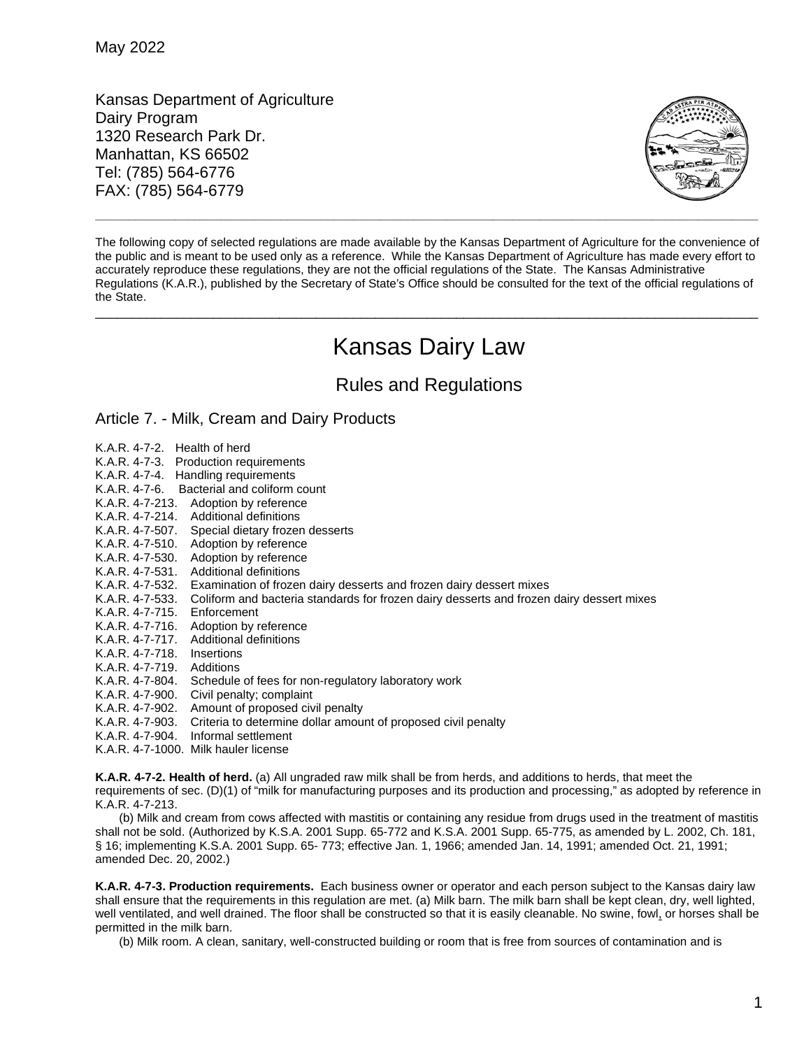Kansas Department of Agriculture Dairy Program 1320 Research Park Dr. Manhattan, KS 66502 Tel: (785) 564-6776 FAX: (785) 564-6779



The following copy of selected regulations are made available by the Kansas Department of Agriculture for the convenience of the public and is meant to be used only as a reference. While the Kansas Department of Agriculture has made every effort to accurately reproduce these regulations, they are not the official regulations of the State. The Kansas Administrative Regulations (K.A.R.), published by the Secretary of State's Office should be consulted for the text of the official regulations of the State.

## Kansas Dairy Law

\_\_\_\_\_\_\_\_\_\_\_\_\_\_\_\_\_\_\_\_\_\_\_\_\_\_\_\_\_\_\_\_\_\_\_\_\_\_\_\_\_\_\_\_\_\_\_\_\_\_\_\_\_\_\_\_\_\_\_\_\_\_\_\_\_\_\_\_\_\_\_\_\_\_\_\_\_\_\_\_\_\_\_\_\_\_\_\_\_\_

Rules and Regulations

## Article 7. - Milk, Cream and Dairy Products

- K.A.R. 4-7-2. Health of herd
- K.A.R. 4-7-3. Production requirements
- K.A.R. 4-7-4. Handling requirements
- K.A.R. 4-7-6. Bacterial and coliform count
- K.A.R. 4-7-213. Adoption by reference
- K.A.R. 4-7-214. Additional definitions<br>K.A.R. 4-7-507. Special dietary frozer
- Special dietary frozen desserts
- K.A.R. 4-7-510. Adoption by reference
- K.A.R. 4-7-530. Adoption by reference
- K.A.R. 4-7-531. Additional definitions
- K.A.R. 4-7-532. Examination of frozen dairy desserts and frozen dairy dessert mixes
- K.A.R. 4-7-533. Coliform and bacteria standards for frozen dairy desserts and frozen dairy dessert mixes
- K.A.R. 4-7-715. Enforcement
- K.A.R. 4-7-716. Adoption by reference<br>K.A.R. 4-7-717. Additional definitions
- Additional definitions
- K.A.R. 4-7-718. Insertions
- K.A.R. 4-7-719. Additions
- K.A.R. 4-7-804. Schedule of fees for non-regulatory laboratory work
- 
- K.A.R. 4-7-900. Civil penalty; complaint<br>K.A.R. 4-7-902. Amount of proposed civ K.A.R. 4-7-902. Amount of proposed civil penalty
- Criteria to determine dollar amount of proposed civil penalty
- K.A.R. 4-7-904. Informal settlement
- K.A.R. 4-7-1000. Milk hauler license

**K.A.R. 4-7-2. Health of herd.** (a) All ungraded raw milk shall be from herds, and additions to herds, that meet the requirements of sec. (D)(1) of "milk for manufacturing purposes and its production and processing," as adopted by reference in K.A.R. 4-7-213.

(b) Milk and cream from cows affected with mastitis or containing any residue from drugs used in the treatment of mastitis shall not be sold. (Authorized by K.S.A. 2001 Supp. 65-772 and K.S.A. 2001 Supp. 65-775, as amended by L. 2002, Ch. 181, § 16; implementing K.S.A. 2001 Supp. 65- 773; effective Jan. 1, 1966; amended Jan. 14, 1991; amended Oct. 21, 1991; amended Dec. 20, 2002.)

**K.A.R. 4-7-3. Production requirements.** Each business owner or operator and each person subject to the Kansas dairy law shall ensure that the requirements in this regulation are met. (a) Milk barn. The milk barn shall be kept clean, dry, well lighted, well ventilated, and well drained. The floor shall be constructed so that it is easily cleanable. No swine, fowl, or horses shall be permitted in the milk barn.

(b) Milk room. A clean, sanitary, well-constructed building or room that is free from sources of contamination and is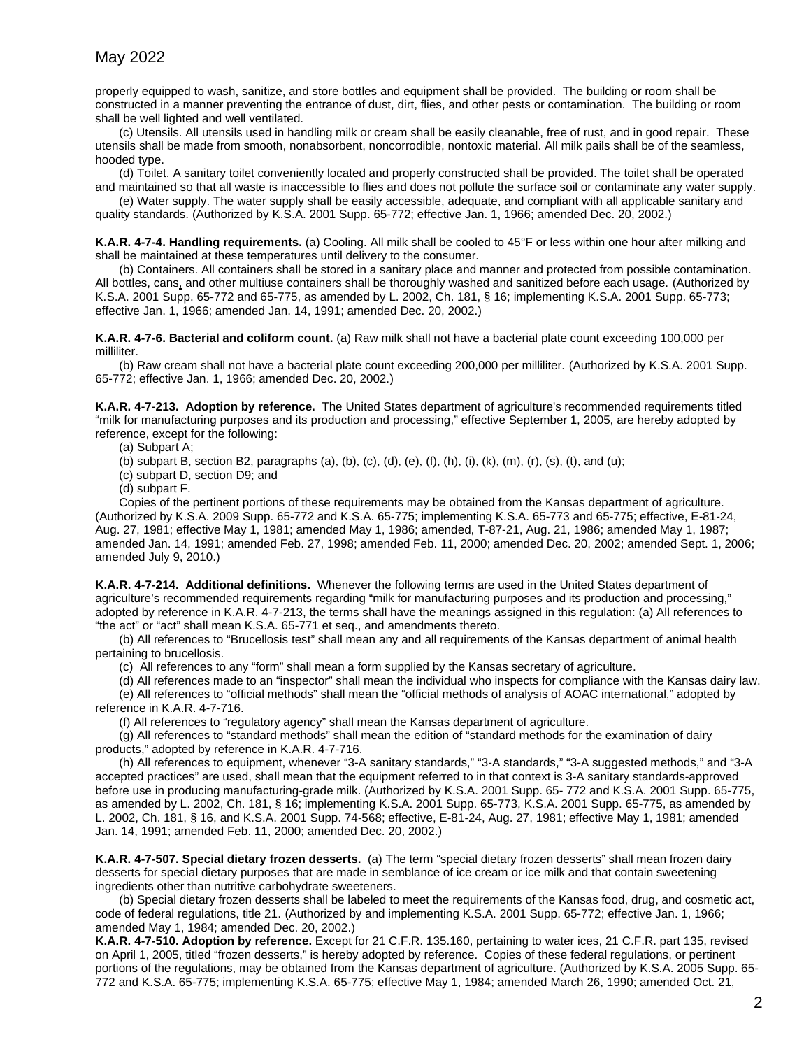properly equipped to wash, sanitize, and store bottles and equipment shall be provided. The building or room shall be constructed in a manner preventing the entrance of dust, dirt, flies, and other pests or contamination. The building or room shall be well lighted and well ventilated.

(c) Utensils. All utensils used in handling milk or cream shall be easily cleanable, free of rust, and in good repair. These utensils shall be made from smooth, nonabsorbent, noncorrodible, nontoxic material. All milk pails shall be of the seamless, hooded type.

(d) Toilet. A sanitary toilet conveniently located and properly constructed shall be provided. The toilet shall be operated and maintained so that all waste is inaccessible to flies and does not pollute the surface soil or contaminate any water supply.

(e) Water supply. The water supply shall be easily accessible, adequate, and compliant with all applicable sanitary and quality standards. (Authorized by K.S.A. 2001 Supp. 65-772; effective Jan. 1, 1966; amended Dec. 20, 2002.)

**K.A.R. 4-7-4. Handling requirements.** (a) Cooling. All milk shall be cooled to 45°F or less within one hour after milking and shall be maintained at these temperatures until delivery to the consumer.

(b) Containers. All containers shall be stored in a sanitary place and manner and protected from possible contamination. All bottles, cans, and other multiuse containers shall be thoroughly washed and sanitized before each usage. (Authorized by K.S.A. 2001 Supp. 65-772 and 65-775, as amended by L. 2002, Ch. 181, § 16; implementing K.S.A. 2001 Supp. 65-773; effective Jan. 1, 1966; amended Jan. 14, 1991; amended Dec. 20, 2002.)

**K.A.R. 4-7-6. Bacterial and coliform count.** (a) Raw milk shall not have a bacterial plate count exceeding 100,000 per milliliter.

(b) Raw cream shall not have a bacterial plate count exceeding 200,000 per milliliter. (Authorized by K.S.A. 2001 Supp. 65-772; effective Jan. 1, 1966; amended Dec. 20, 2002.)

**K.A.R. 4-7-213. Adoption by reference.** The United States department of agriculture's recommended requirements titled "milk for manufacturing purposes and its production and processing," effective September 1, 2005, are hereby adopted by reference, except for the following:

(a) Subpart A;

(b) subpart B, section B2, paragraphs (a), (b), (c), (d), (e), (f), (h), (i), (k), (m), (r), (s), (t), and (u);

(c) subpart D, section D9; and

(d) subpart F.

Copies of the pertinent portions of these requirements may be obtained from the Kansas department of agriculture. (Authorized by K.S.A. 2009 Supp. 65-772 and K.S.A. 65-775; implementing K.S.A. 65-773 and 65-775; effective, E-81-24, Aug. 27, 1981; effective May 1, 1981; amended May 1, 1986; amended, T-87-21, Aug. 21, 1986; amended May 1, 1987; amended Jan. 14, 1991; amended Feb. 27, 1998; amended Feb. 11, 2000; amended Dec. 20, 2002; amended Sept. 1, 2006; amended July 9, 2010.)

**K.A.R. 4-7-214. Additional definitions.** Whenever the following terms are used in the United States department of agriculture's recommended requirements regarding "milk for manufacturing purposes and its production and processing," adopted by reference in K.A.R. 4-7-213, the terms shall have the meanings assigned in this regulation: (a) All references to "the act" or "act" shall mean K.S.A. 65-771 et seq., and amendments thereto.

(b) All references to "Brucellosis test" shall mean any and all requirements of the Kansas department of animal health pertaining to brucellosis.

(c) All references to any "form" shall mean a form supplied by the Kansas secretary of agriculture.

(d) All references made to an "inspector" shall mean the individual who inspects for compliance with the Kansas dairy law.

(e) All references to "official methods" shall mean the "official methods of analysis of AOAC international," adopted by reference in K.A.R. 4-7-716.

(f) All references to "regulatory agency" shall mean the Kansas department of agriculture.

(g) All references to "standard methods" shall mean the edition of "standard methods for the examination of dairy products," adopted by reference in K.A.R. 4-7-716.

(h) All references to equipment, whenever "3-A sanitary standards," "3-A standards," "3-A suggested methods," and "3-A accepted practices" are used, shall mean that the equipment referred to in that context is 3-A sanitary standards-approved before use in producing manufacturing-grade milk. (Authorized by K.S.A. 2001 Supp. 65- 772 and K.S.A. 2001 Supp. 65-775, as amended by L. 2002, Ch. 181, § 16; implementing K.S.A. 2001 Supp. 65-773, K.S.A. 2001 Supp. 65-775, as amended by L. 2002, Ch. 181, § 16, and K.S.A. 2001 Supp. 74-568; effective, E-81-24, Aug. 27, 1981; effective May 1, 1981; amended Jan. 14, 1991; amended Feb. 11, 2000; amended Dec. 20, 2002.)

**K.A.R. 4-7-507. Special dietary frozen desserts.** (a) The term "special dietary frozen desserts" shall mean frozen dairy desserts for special dietary purposes that are made in semblance of ice cream or ice milk and that contain sweetening ingredients other than nutritive carbohydrate sweeteners.

(b) Special dietary frozen desserts shall be labeled to meet the requirements of the Kansas food, drug, and cosmetic act, code of federal regulations, title 21. (Authorized by and implementing K.S.A. 2001 Supp. 65-772; effective Jan. 1, 1966; amended May 1, 1984; amended Dec. 20, 2002.)

**K.A.R. 4-7-510. Adoption by reference.** Except for 21 C.F.R. 135.160, pertaining to water ices, 21 C.F.R. part 135, revised on April 1, 2005, titled "frozen desserts," is hereby adopted by reference. Copies of these federal regulations, or pertinent portions of the regulations, may be obtained from the Kansas department of agriculture. (Authorized by K.S.A. 2005 Supp. 65- 772 and K.S.A. 65-775; implementing K.S.A. 65-775; effective May 1, 1984; amended March 26, 1990; amended Oct. 21,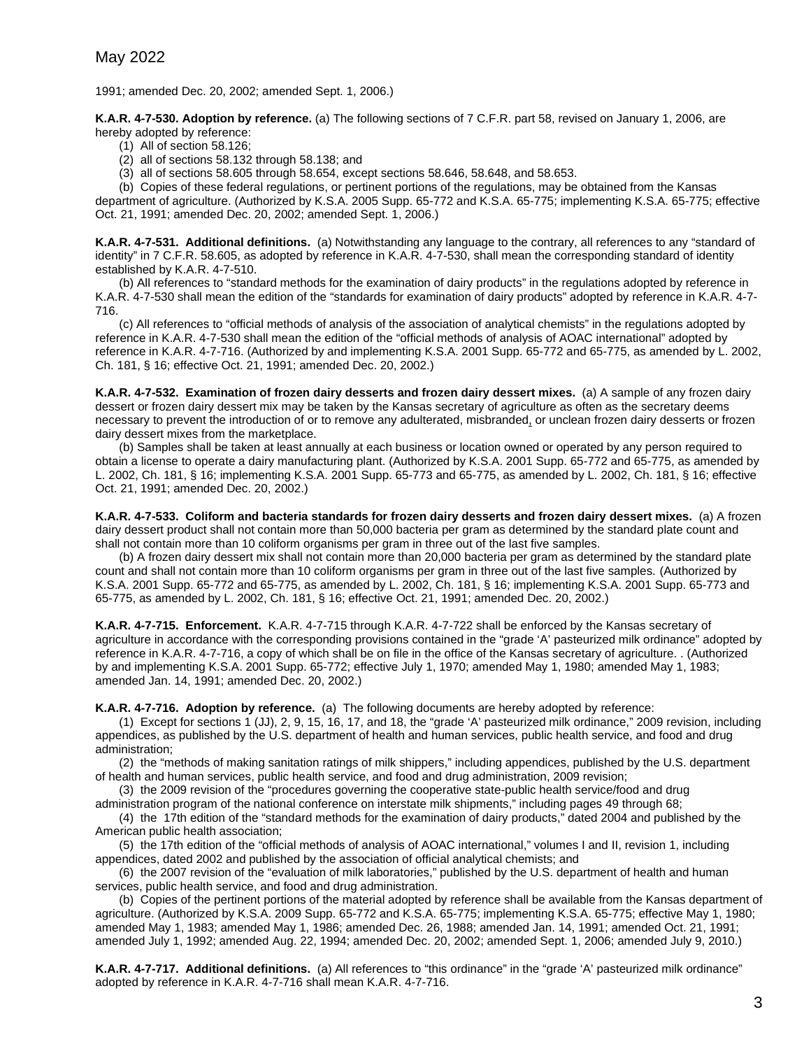1991; amended Dec. 20, 2002; amended Sept. 1, 2006.)

**K.A.R. 4-7-530. Adoption by reference.** (a) The following sections of 7 C.F.R. part 58, revised on January 1, 2006, are hereby adopted by reference:

(1) All of section 58.126;

(2) all of sections 58.132 through 58.138; and

(3) all of sections 58.605 through 58.654, except sections 58.646, 58.648, and 58.653.

(b) Copies of these federal regulations, or pertinent portions of the regulations, may be obtained from the Kansas department of agriculture. (Authorized by K.S.A. 2005 Supp. 65-772 and K.S.A. 65-775; implementing K.S.A. 65-775; effective Oct. 21, 1991; amended Dec. 20, 2002; amended Sept. 1, 2006.)

**K.A.R. 4-7-531. Additional definitions.** (a) Notwithstanding any language to the contrary, all references to any "standard of identity" in 7 C.F.R. 58.605, as adopted by reference in K.A.R. 4-7-530, shall mean the corresponding standard of identity established by K.A.R. 4-7-510.

(b) All references to "standard methods for the examination of dairy products" in the regulations adopted by reference in K.A.R. 4-7-530 shall mean the edition of the "standards for examination of dairy products" adopted by reference in K.A.R. 4-7- 716.

(c) All references to "official methods of analysis of the association of analytical chemists" in the regulations adopted by reference in K.A.R. 4-7-530 shall mean the edition of the "official methods of analysis of AOAC international" adopted by reference in K.A.R. 4-7-716. (Authorized by and implementing K.S.A. 2001 Supp. 65-772 and 65-775, as amended by L. 2002, Ch. 181, § 16; effective Oct. 21, 1991; amended Dec. 20, 2002.)

**K.A.R. 4-7-532. Examination of frozen dairy desserts and frozen dairy dessert mixes.** (a) A sample of any frozen dairy dessert or frozen dairy dessert mix may be taken by the Kansas secretary of agriculture as often as the secretary deems necessary to prevent the introduction of or to remove any adulterated, misbranded, or unclean frozen dairy desserts or frozen dairy dessert mixes from the marketplace.

(b) Samples shall be taken at least annually at each business or location owned or operated by any person required to obtain a license to operate a dairy manufacturing plant. (Authorized by K.S.A. 2001 Supp. 65-772 and 65-775, as amended by L. 2002, Ch. 181, § 16; implementing K.S.A. 2001 Supp. 65-773 and 65-775, as amended by L. 2002, Ch. 181, § 16; effective Oct. 21, 1991; amended Dec. 20, 2002.)

**K.A.R. 4-7-533. Coliform and bacteria standards for frozen dairy desserts and frozen dairy dessert mixes.** (a) A frozen dairy dessert product shall not contain more than 50,000 bacteria per gram as determined by the standard plate count and shall not contain more than 10 coliform organisms per gram in three out of the last five samples.

(b) A frozen dairy dessert mix shall not contain more than 20,000 bacteria per gram as determined by the standard plate count and shall not contain more than 10 coliform organisms per gram in three out of the last five samples. (Authorized by K.S.A. 2001 Supp. 65-772 and 65-775, as amended by L. 2002, Ch. 181, § 16; implementing K.S.A. 2001 Supp. 65-773 and 65-775, as amended by L. 2002, Ch. 181, § 16; effective Oct. 21, 1991; amended Dec. 20, 2002.)

**K.A.R. 4-7-715. Enforcement.** K.A.R. 4-7-715 through K.A.R. 4-7-722 shall be enforced by the Kansas secretary of agriculture in accordance with the corresponding provisions contained in the "grade 'A' pasteurized milk ordinance" adopted by reference in K.A.R. 4-7-716, a copy of which shall be on file in the office of the Kansas secretary of agriculture. . (Authorized by and implementing K.S.A. 2001 Supp. 65-772; effective July 1, 1970; amended May 1, 1980; amended May 1, 1983; amended Jan. 14, 1991; amended Dec. 20, 2002.)

**K.A.R. 4-7-716. Adoption by reference.** (a) The following documents are hereby adopted by reference:

(1) Except for sections 1 (JJ), 2, 9, 15, 16, 17, and 18, the "grade 'A' pasteurized milk ordinance," 2009 revision, including appendices, as published by the U.S. department of health and human services, public health service, and food and drug administration;

(2) the "methods of making sanitation ratings of milk shippers," including appendices, published by the U.S. department of health and human services, public health service, and food and drug administration, 2009 revision;

(3) the 2009 revision of the "procedures governing the cooperative state-public health service/food and drug administration program of the national conference on interstate milk shipments," including pages 49 through 68;

(4) the 17th edition of the "standard methods for the examination of dairy products," dated 2004 and published by the American public health association;

(5) the 17th edition of the "official methods of analysis of AOAC international," volumes I and II, revision 1, including appendices, dated 2002 and published by the association of official analytical chemists; and

(6) the 2007 revision of the "evaluation of milk laboratories," published by the U.S. department of health and human services, public health service, and food and drug administration.

(b) Copies of the pertinent portions of the material adopted by reference shall be available from the Kansas department of agriculture. (Authorized by K.S.A. 2009 Supp. 65-772 and K.S.A. 65-775; implementing K.S.A. 65-775; effective May 1, 1980; amended May 1, 1983; amended May 1, 1986; amended Dec. 26, 1988; amended Jan. 14, 1991; amended Oct. 21, 1991; amended July 1, 1992; amended Aug. 22, 1994; amended Dec. 20, 2002; amended Sept. 1, 2006; amended July 9, 2010.)

**K.A.R. 4-7-717. Additional definitions.** (a) All references to "this ordinance" in the "grade 'A' pasteurized milk ordinance" adopted by reference in K.A.R. 4-7-716 shall mean K.A.R. 4-7-716.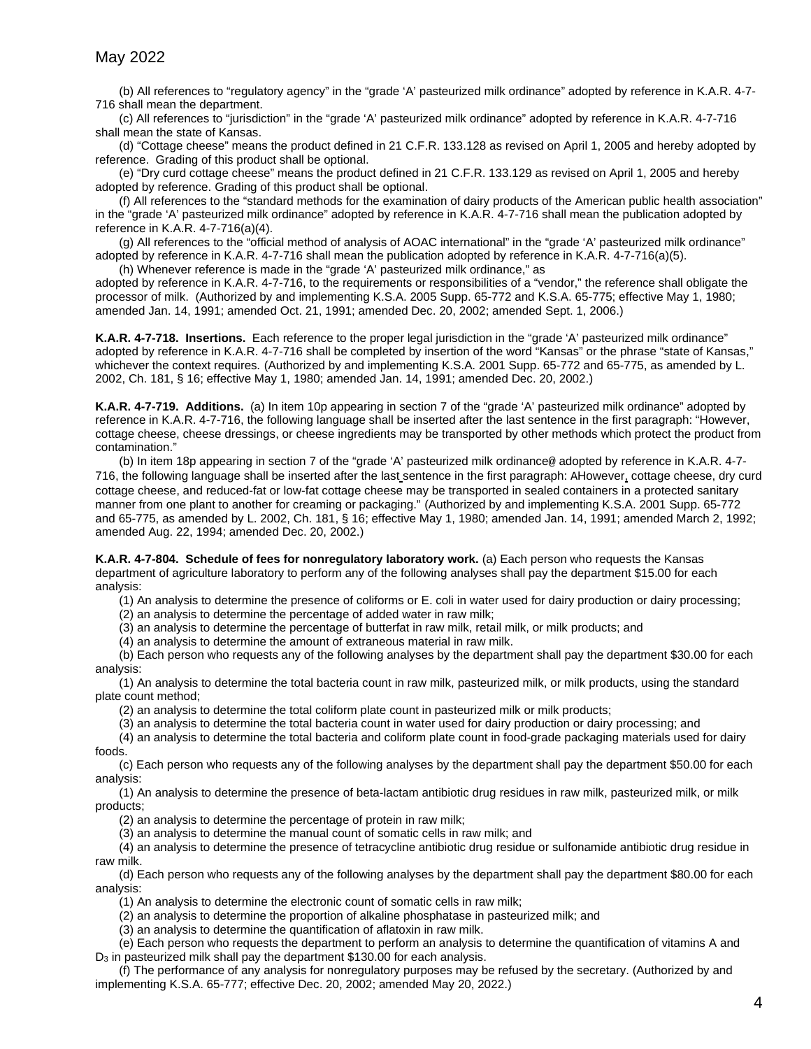(b) All references to "regulatory agency" in the "grade 'A' pasteurized milk ordinance" adopted by reference in K.A.R. 4-7- 716 shall mean the department.

(c) All references to "jurisdiction" in the "grade 'A' pasteurized milk ordinance" adopted by reference in K.A.R. 4-7-716 shall mean the state of Kansas.

(d) "Cottage cheese" means the product defined in 21 C.F.R. 133.128 as revised on April 1, 2005 and hereby adopted by reference. Grading of this product shall be optional.

(e) "Dry curd cottage cheese" means the product defined in 21 C.F.R. 133.129 as revised on April 1, 2005 and hereby adopted by reference. Grading of this product shall be optional.

(f) All references to the "standard methods for the examination of dairy products of the American public health association" in the "grade 'A' pasteurized milk ordinance" adopted by reference in K.A.R. 4-7-716 shall mean the publication adopted by reference in K.A.R. 4-7-716(a)(4).

(g) All references to the "official method of analysis of AOAC international" in the "grade 'A' pasteurized milk ordinance" adopted by reference in K.A.R. 4-7-716 shall mean the publication adopted by reference in K.A.R. 4-7-716(a)(5).

(h) Whenever reference is made in the "grade 'A' pasteurized milk ordinance," as adopted by reference in K.A.R. 4-7-716, to the requirements or responsibilities of a "vendor," the reference shall obligate the processor of milk. (Authorized by and implementing K.S.A. 2005 Supp. 65-772 and K.S.A. 65-775; effective May 1, 1980; amended Jan. 14, 1991; amended Oct. 21, 1991; amended Dec. 20, 2002; amended Sept. 1, 2006.)

**K.A.R. 4-7-718. Insertions.** Each reference to the proper legal jurisdiction in the "grade 'A' pasteurized milk ordinance" adopted by reference in K.A.R. 4-7-716 shall be completed by insertion of the word "Kansas" or the phrase "state of Kansas," whichever the context requires. (Authorized by and implementing K.S.A. 2001 Supp. 65-772 and 65-775, as amended by L. 2002, Ch. 181, § 16; effective May 1, 1980; amended Jan. 14, 1991; amended Dec. 20, 2002.)

**K.A.R. 4-7-719. Additions.** (a) In item 10p appearing in section 7 of the "grade 'A' pasteurized milk ordinance" adopted by reference in K.A.R. 4-7-716, the following language shall be inserted after the last sentence in the first paragraph: "However, cottage cheese, cheese dressings, or cheese ingredients may be transported by other methods which protect the product from contamination."

(b) In item 18p appearing in section 7 of the "grade 'A' pasteurized milk ordinance@ adopted by reference in K.A.R. 4-7- 716, the following language shall be inserted after the last sentence in the first paragraph: AHowever, cottage cheese, dry curd cottage cheese, and reduced-fat or low-fat cottage cheese may be transported in sealed containers in a protected sanitary manner from one plant to another for creaming or packaging." (Authorized by and implementing K.S.A. 2001 Supp. 65-772 and 65-775, as amended by L. 2002, Ch. 181, § 16; effective May 1, 1980; amended Jan. 14, 1991; amended March 2, 1992; amended Aug. 22, 1994; amended Dec. 20, 2002.)

**K.A.R. 4-7-804. Schedule of fees for nonregulatory laboratory work.** (a) Each person who requests the Kansas department of agriculture laboratory to perform any of the following analyses shall pay the department \$15.00 for each analysis:

(1) An analysis to determine the presence of coliforms or E. coli in water used for dairy production or dairy processing;

(2) an analysis to determine the percentage of added water in raw milk;

(3) an analysis to determine the percentage of butterfat in raw milk, retail milk, or milk products; and

(4) an analysis to determine the amount of extraneous material in raw milk.

(b) Each person who requests any of the following analyses by the department shall pay the department \$30.00 for each analysis:

(1) An analysis to determine the total bacteria count in raw milk, pasteurized milk, or milk products, using the standard plate count method;

(2) an analysis to determine the total coliform plate count in pasteurized milk or milk products;

(3) an analysis to determine the total bacteria count in water used for dairy production or dairy processing; and

(4) an analysis to determine the total bacteria and coliform plate count in food-grade packaging materials used for dairy foods.

(c) Each person who requests any of the following analyses by the department shall pay the department \$50.00 for each analysis:

(1) An analysis to determine the presence of beta-lactam antibiotic drug residues in raw milk, pasteurized milk, or milk products;

(2) an analysis to determine the percentage of protein in raw milk;

(3) an analysis to determine the manual count of somatic cells in raw milk; and

(4) an analysis to determine the presence of tetracycline antibiotic drug residue or sulfonamide antibiotic drug residue in raw milk.

(d) Each person who requests any of the following analyses by the department shall pay the department \$80.00 for each analysis:

(1) An analysis to determine the electronic count of somatic cells in raw milk;

(2) an analysis to determine the proportion of alkaline phosphatase in pasteurized milk; and

(3) an analysis to determine the quantification of aflatoxin in raw milk.

(e) Each person who requests the department to perform an analysis to determine the quantification of vitamins A and D3 in pasteurized milk shall pay the department \$130.00 for each analysis.

(f) The performance of any analysis for nonregulatory purposes may be refused by the secretary. (Authorized by and implementing K.S.A. 65-777; effective Dec. 20, 2002; amended May 20, 2022.)